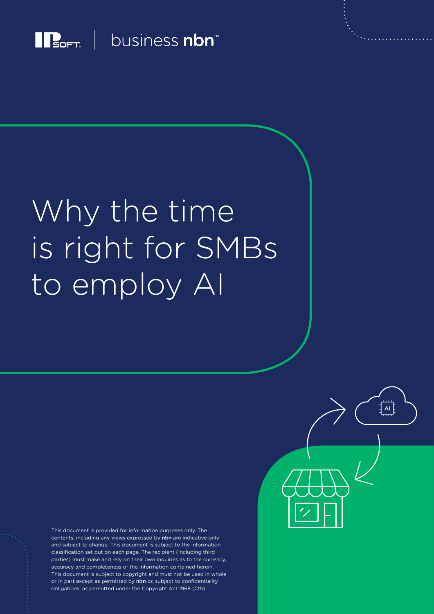

 $\prod_{\mathsf{S}\in\mathsf{FT}}$  business nbn

# Why the time is right for SMBs to employ AI

This document is provided for information purposes only. The contents, including any views expressed by nbn are indicative only and subject to change. This document is subject to the information classification set out on each page. The recipient (including third parties) must make and rely on their own inquiries as to the currency, accuracy and completeness of the information contained herein. This document is subject to copyright and must not be used in whole or in part except as permitted by nbn or, subject to confidentiality obligations, as permitted under the Copyright Act 1968 (Cth).

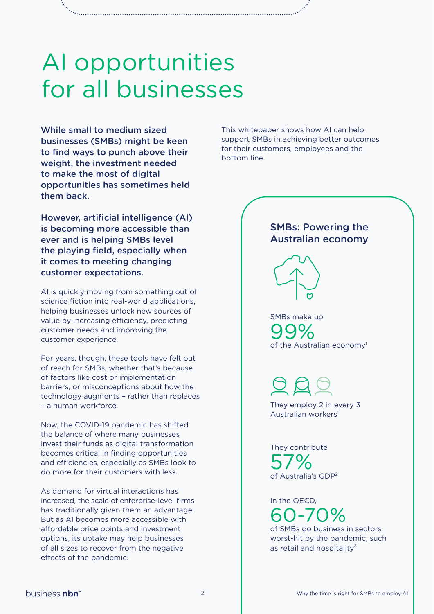### AI opportunities for all businesses

While small to medium sized businesses (SMBs) might be keen to find ways to punch above their weight, the investment needed to make the most of digital opportunities has sometimes held them back.

However, artificial intelligence (AI) is becoming more accessible than ever and is helping SMBs level the playing field, especially when it comes to meeting changing customer expectations.

AI is quickly moving from something out of science fiction into real-world applications, helping businesses unlock new sources of value by increasing efficiency, predicting customer needs and improving the customer experience.

For years, though, these tools have felt out of reach for SMBs, whether that's because of factors like cost or implementation barriers, or misconceptions about how the technology augments – rather than replaces – a human workforce.

Now, the COVID-19 pandemic has shifted the balance of where many businesses invest their funds as digital transformation becomes critical in finding opportunities and efficiencies, especially as SMBs look to do more for their customers with less.

As demand for virtual interactions has increased, the scale of enterprise-level firms has traditionally given them an advantage. But as AI becomes more accessible with affordable price points and investment options, its uptake may help businesses of all sizes to recover from the negative effects of the pandemic.

This whitepaper shows how AI can help support SMBs in achieving better outcomes for their customers, employees and the bottom line.

#### SMBs: Powering the Australian economy



SMBs make up 99%<br>of the Australian economy

They employ 2 in every 3 Australian workers<sup>1</sup>

They contribute 57% of Australia's GDP<sup>2</sup>

In the OECD,  $0 - 70\%$ 

of SMBs do business in sectors worst-hit by the pandemic, such as retail and hospitality<sup>3</sup>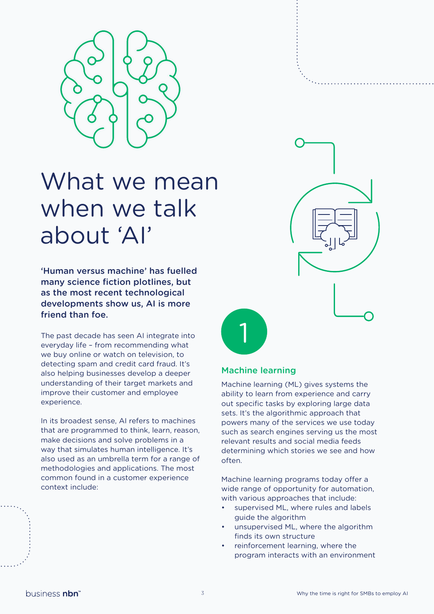

### What we mean when we talk about 'AI'

'Human versus machine' has fuelled many science fiction plotlines, but as the most recent technological developments show us, AI is more friend than foe.

The past decade has seen AI integrate into everyday life – from recommending what we buy online or watch on television, to detecting spam and credit card fraud. It's also helping businesses develop a deeper understanding of their target markets and improve their customer and employee experience.

In its broadest sense, AI refers to machines that are programmed to think, learn, reason, make decisions and solve problems in a way that simulates human intelligence. It's also used as an umbrella term for a range of methodologies and applications. The most common found in a customer experience context include:



#### Machine learning

1

Machine learning (ML) gives systems the ability to learn from experience and carry out specific tasks by exploring large data sets. It's the algorithmic approach that powers many of the services we use today such as search engines serving us the most relevant results and social media feeds determining which stories we see and how often.

Machine learning programs today offer a wide range of opportunity for automation, with various approaches that include:

- supervised ML, where rules and labels guide the algorithm
- unsupervised ML, where the algorithm finds its own structure
- reinforcement learning, where the program interacts with an environment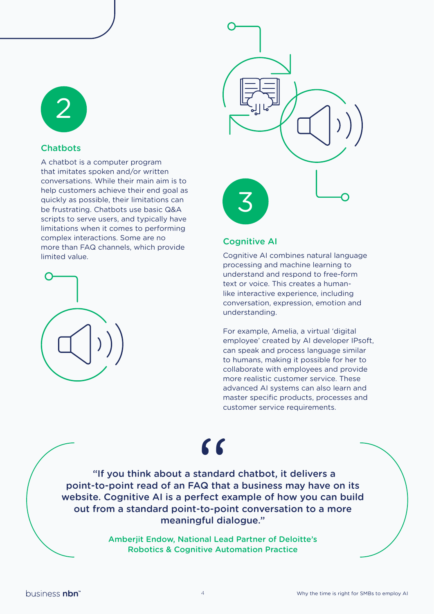

#### **Chatbots**

A chatbot is a computer program that imitates spoken and/or written conversations. While their main aim is to help customers achieve their end goal as quickly as possible, their limitations can be frustrating. Chatbots use basic Q&A scripts to serve users, and typically have limitations when it comes to performing complex interactions. Some are no more than FAQ channels, which provide limited value.





#### Cognitive AI

Cognitive AI combines natural language processing and machine learning to understand and respond to free-form text or voice. This creates a humanlike interactive experience, including conversation, expression, emotion and understanding.

For example, Amelia, a virtual 'digital employee' created by AI developer IPsoft, can speak and process language similar to humans, making it possible for her to collaborate with employees and provide more realistic customer service. These advanced AI systems can also learn and master specific products, processes and customer service requirements.

### $\epsilon$

 "If you think about a standard chatbot, it delivers a point-to-point read of an FAQ that a business may have on its website. Cognitive AI is a perfect example of how you can build out from a standard point-to-point conversation to a more meaningful dialogue."

> Amberjit Endow, National Lead Partner of Deloitte's Robotics & Cognitive Automation Practice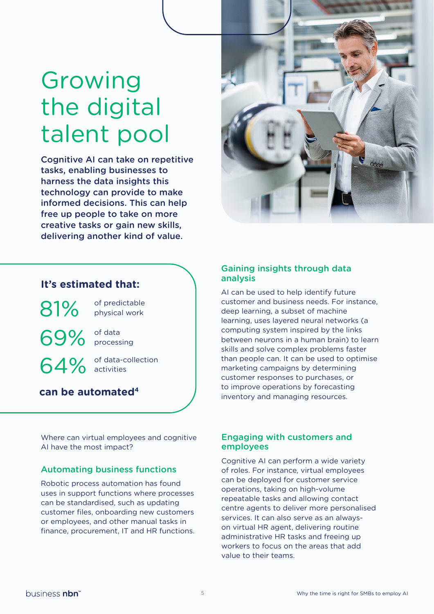### Growing the digital talent pool

Cognitive AI can take on repetitive tasks, enabling businesses to harness the data insights this technology can provide to make informed decisions. This can help free up people to take on more creative tasks or gain new skills, delivering another kind of value.



#### **It's estimated that:**

of predictable physical work 81%

of data 69% of data

64% of data-c

of data-collection

**can be automated4**

Where can virtual employees and cognitive AI have the most impact?

#### Automating business functions

Robotic process automation has found uses in support functions where processes can be standardised, such as updating customer files, onboarding new customers or employees, and other manual tasks in finance, procurement, IT and HR functions.

#### Gaining insights through data analysis

AI can be used to help identify future customer and business needs. For instance, deep learning, a subset of machine learning, uses layered neural networks (a computing system inspired by the links between neurons in a human brain) to learn skills and solve complex problems faster than people can. It can be used to optimise marketing campaigns by determining customer responses to purchases, or to improve operations by forecasting inventory and managing resources.

#### Engaging with customers and employees

Cognitive AI can perform a wide variety of roles. For instance, virtual employees can be deployed for customer service operations, taking on high-volume repeatable tasks and allowing contact centre agents to deliver more personalised services. It can also serve as an alwayson virtual HR agent, delivering routine administrative HR tasks and freeing up workers to focus on the areas that add value to their teams.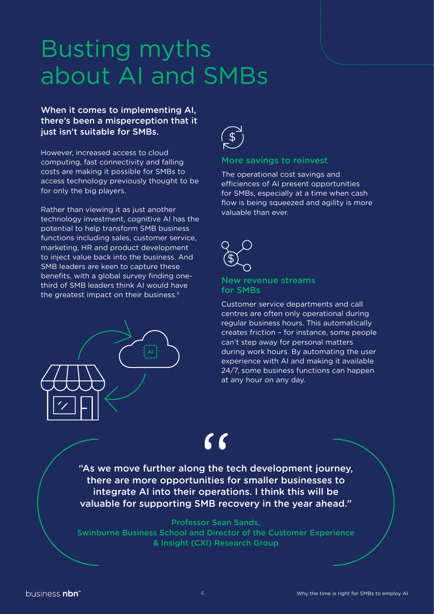### Busting myths about AI and SMBs

#### When it comes to implementing AI, there's been a misperception that it just isn't suitable for SMBs.

However, increased access to cloud computing, fast connectivity and falling costs are making it possible for SMBs to access technology previously thought to be for only the big players.

Rather than viewing it as just another technology investment, cognitive AI has the potential to help transform SMB business functions including sales, customer service, marketing, HR and product development to inject value back into the business. And SMB leaders are keen to capture these benefits, with a global survey finding onethird of SMB leaders think AI would have the greatest impact on their business.<sup>5</sup>





#### More savings to reinvest

The operational cost savings and efficiences of AI present opportunities for SMBs, especially at a time when cash flow is being squeezed and agility is more valuable than ever.



#### New revenue streams for SMBs

Customer service departments and call centres are often only operational during regular business hours. This automatically creates friction – for instance, some people can't step away for personal matters during work hours. By automating the user experience with AI and making it available 24/7, some business functions can happen at any hour on any day.

## $\mathbf{C}$

"As we move further along the tech development journey, there are more opportunities for smaller businesses to integrate AI into their operations. I think this will be valuable for supporting SMB recovery in the year ahead."

#### Professor Sean Sands,

Swinburne Business School and Director of the Customer Experience & Insight (CXI) Research Group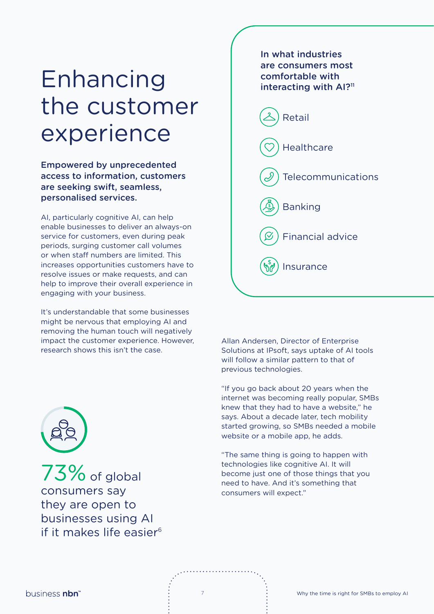### Enhancing the customer experience

Empowered by unprecedented access to information, customers are seeking swift, seamless, personalised services.

AI, particularly cognitive AI, can help enable businesses to deliver an always-on service for customers, even during peak periods, surging customer call volumes or when staff numbers are limited. This increases opportunities customers have to resolve issues or make requests, and can help to improve their overall experience in engaging with your business.

It's understandable that some businesses might be nervous that employing AI and removing the human touch will negatively impact the customer experience. However, research shows this isn't the case.



 $73\%$  of global consumers say they are open to businesses using AI if it makes life easier $6$ 



Allan Andersen, Director of Enterprise Solutions at IPsoft, says uptake of AI tools will follow a similar pattern to that of previous technologies.

"If you go back about 20 years when the internet was becoming really popular, SMBs knew that they had to have a website," he says. About a decade later, tech mobility started growing, so SMBs needed a mobile website or a mobile app, he adds.

"The same thing is going to happen with technologies like cognitive AI. It will become just one of those things that you need to have. And it's something that consumers will expect."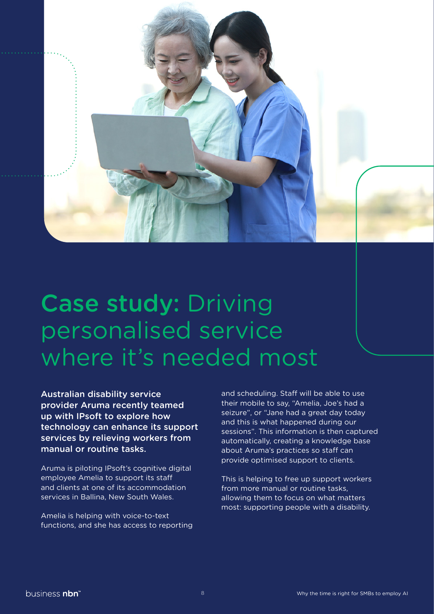

### Case study: Driving personalised service where it's needed most

Australian disability service provider Aruma recently teamed up with IPsoft to explore how technology can enhance its support services by relieving workers from manual or routine tasks.

Aruma is piloting IPsoft's cognitive digital employee Amelia to support its staff and clients at one of its accommodation services in Ballina, New South Wales.

Amelia is helping with voice-to-text functions, and she has access to reporting and scheduling. Staff will be able to use their mobile to say, "Amelia, Joe's had a seizure", or "Jane had a great day today and this is what happened during our sessions". This information is then captured automatically, creating a knowledge base about Aruma's practices so staff can provide optimised support to clients.

This is helping to free up support workers from more manual or routine tasks, allowing them to focus on what matters most: supporting people with a disability.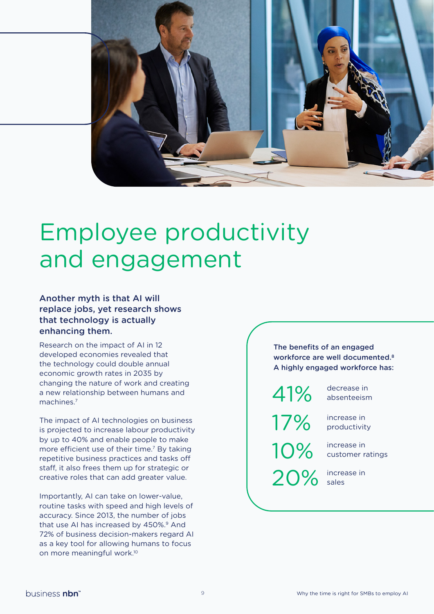

### Employee productivity and engagement

Another myth is that AI will replace jobs, yet research shows that technology is actually enhancing them.

Research on the impact of AI in 12 developed economies revealed that the technology could double annual economic growth rates in 2035 by changing the nature of work and creating a new relationship between humans and machines<sup>7</sup>

The impact of AI technologies on business is projected to increase labour productivity by up to 40% and enable people to make more efficient use of their time.<sup>7</sup> By taking repetitive business practices and tasks off staff, it also frees them up for strategic or creative roles that can add greater value.

Importantly, AI can take on lower-value, routine tasks with speed and high levels of accuracy. Since 2013, the number of jobs that use AI has increased by 450%.<sup>9</sup> And 72% of business decision-makers regard AI as a key tool for allowing humans to focus on more meaningful work.10

#### The benefits of an engaged workforce are well documented.<sup>8</sup> A highly engaged workforce has:

41%

17%

decrease in absenteeism

increase in productivity

increase in 10% increase in<br>customer ratings

increase in

20% sales

business nbn<sup>\*</sup>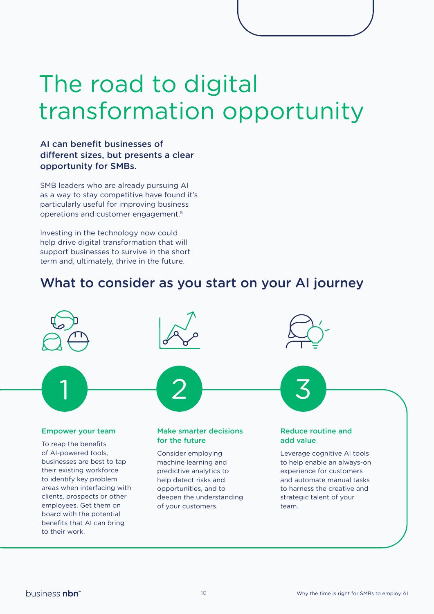### The road to digital transformation opportunity

#### AI can benefit businesses of different sizes, but presents a clear opportunity for SMBs.

SMB leaders who are already pursuing AI as a way to stay competitive have found it's particularly useful for improving business operations and customer engagement.5

Investing in the technology now could help drive digital transformation that will support businesses to survive in the short term and, ultimately, thrive in the future.

### What to consider as you start on your AI journey